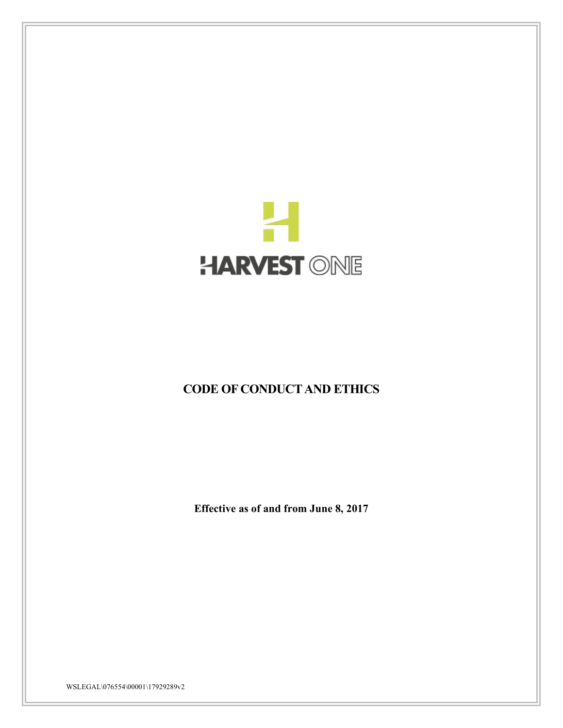

# **CODE OF CONDUCT AND ETHICS**

**Effective as of and from June 8, 2017**

WSLEGAL\076554\00001\17929289v2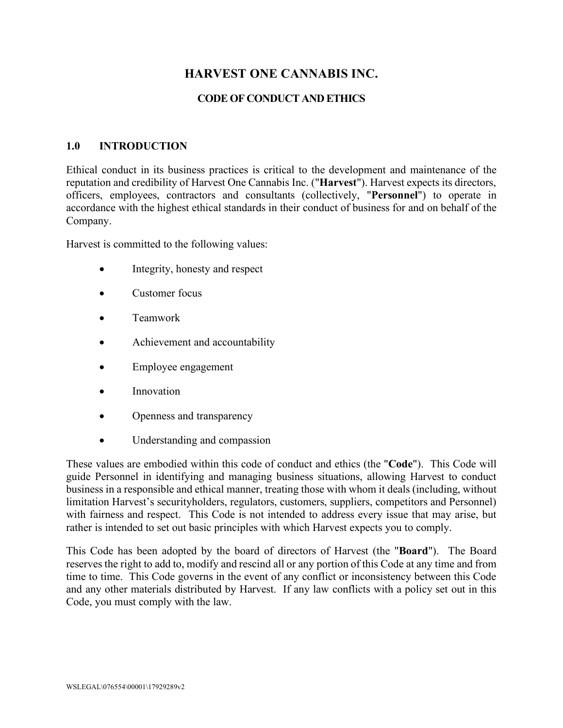# **HARVEST ONE CANNABIS INC.**

## **CODE OF CONDUCT AND ETHICS**

#### **1.0 INTRODUCTION**

Ethical conduct in its business practices is critical to the development and maintenance of the reputation and credibility of Harvest One Cannabis Inc. ("**Harvest**"). Harvest expects its directors, officers, employees, contractors and consultants (collectively, "**Personnel**") to operate in accordance with the highest ethical standards in their conduct of business for and on behalf of the Company.

Harvest is committed to the following values:

- Integrity, honesty and respect
- Customer focus
- Teamwork
- Achievement and accountability
- Employee engagement
- Innovation
- Openness and transparency
- Understanding and compassion

These values are embodied within this code of conduct and ethics (the "**Code**"). This Code will guide Personnel in identifying and managing business situations, allowing Harvest to conduct business in a responsible and ethical manner, treating those with whom it deals (including, without limitation Harvest's securityholders, regulators, customers, suppliers, competitors and Personnel) with fairness and respect. This Code is not intended to address every issue that may arise, but rather is intended to set out basic principles with which Harvest expects you to comply.

This Code has been adopted by the board of directors of Harvest (the "**Board**"). The Board reserves the right to add to, modify and rescind all or any portion of this Code at any time and from time to time. This Code governs in the event of any conflict or inconsistency between this Code and any other materials distributed by Harvest. If any law conflicts with a policy set out in this Code, you must comply with the law.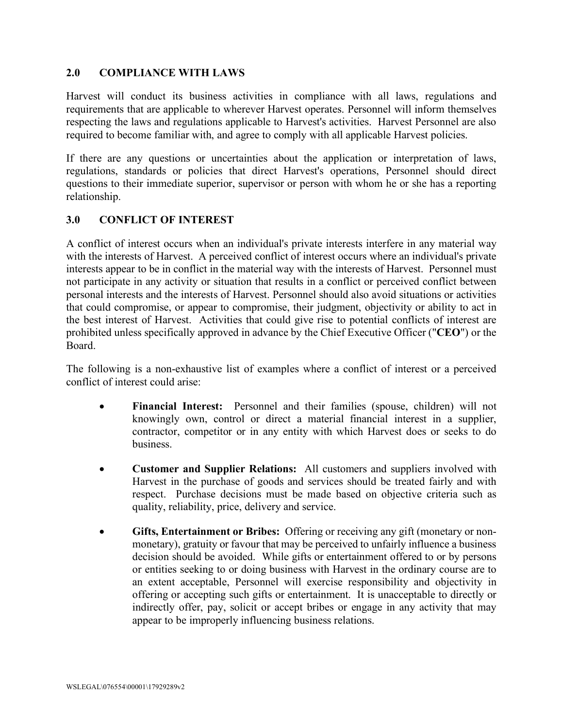#### **2.0 COMPLIANCE WITH LAWS**

Harvest will conduct its business activities in compliance with all laws, regulations and requirements that are applicable to wherever Harvest operates. Personnel will inform themselves respecting the laws and regulations applicable to Harvest's activities. Harvest Personnel are also required to become familiar with, and agree to comply with all applicable Harvest policies.

If there are any questions or uncertainties about the application or interpretation of laws, regulations, standards or policies that direct Harvest's operations, Personnel should direct questions to their immediate superior, supervisor or person with whom he or she has a reporting relationship.

## **3.0 CONFLICT OF INTEREST**

A conflict of interest occurs when an individual's private interests interfere in any material way with the interests of Harvest. A perceived conflict of interest occurs where an individual's private interests appear to be in conflict in the material way with the interests of Harvest. Personnel must not participate in any activity or situation that results in a conflict or perceived conflict between personal interests and the interests of Harvest. Personnel should also avoid situations or activities that could compromise, or appear to compromise, their judgment, objectivity or ability to act in the best interest of Harvest. Activities that could give rise to potential conflicts of interest are prohibited unless specifically approved in advance by the Chief Executive Officer ("**CEO**") or the Board.

The following is a non-exhaustive list of examples where a conflict of interest or a perceived conflict of interest could arise:

- **Financial Interest:** Personnel and their families (spouse, children) will not knowingly own, control or direct a material financial interest in a supplier, contractor, competitor or in any entity with which Harvest does or seeks to do business.
- **Customer and Supplier Relations:** All customers and suppliers involved with Harvest in the purchase of goods and services should be treated fairly and with respect. Purchase decisions must be made based on objective criteria such as quality, reliability, price, delivery and service.
- **Gifts, Entertainment or Bribes:** Offering or receiving any gift (monetary or nonmonetary), gratuity or favour that may be perceived to unfairly influence a business decision should be avoided. While gifts or entertainment offered to or by persons or entities seeking to or doing business with Harvest in the ordinary course are to an extent acceptable, Personnel will exercise responsibility and objectivity in offering or accepting such gifts or entertainment. It is unacceptable to directly or indirectly offer, pay, solicit or accept bribes or engage in any activity that may appear to be improperly influencing business relations.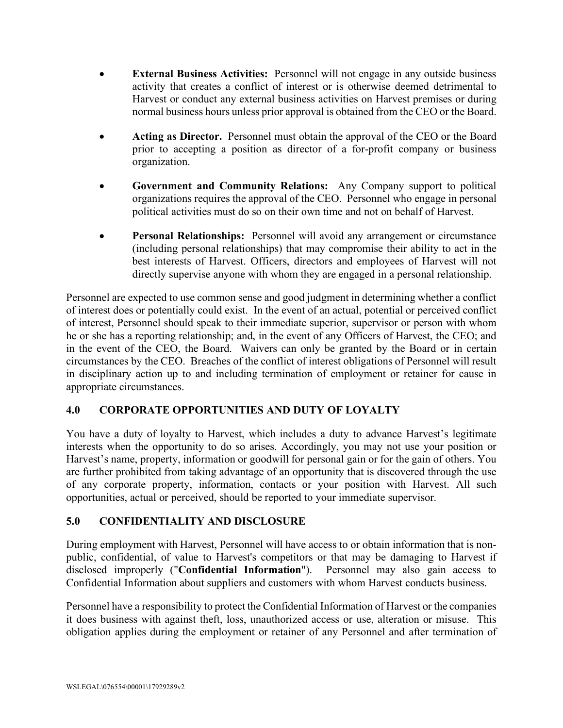- **External Business Activities:** Personnel will not engage in any outside business activity that creates a conflict of interest or is otherwise deemed detrimental to Harvest or conduct any external business activities on Harvest premises or during normal business hours unless prior approval is obtained from the CEO or the Board.
- **Acting as Director.** Personnel must obtain the approval of the CEO or the Board prior to accepting a position as director of a for-profit company or business organization.
- **Government and Community Relations:** Any Company support to political organizations requires the approval of the CEO. Personnel who engage in personal political activities must do so on their own time and not on behalf of Harvest.
- **Personal Relationships:** Personnel will avoid any arrangement or circumstance (including personal relationships) that may compromise their ability to act in the best interests of Harvest. Officers, directors and employees of Harvest will not directly supervise anyone with whom they are engaged in a personal relationship.

Personnel are expected to use common sense and good judgment in determining whether a conflict of interest does or potentially could exist. In the event of an actual, potential or perceived conflict of interest, Personnel should speak to their immediate superior, supervisor or person with whom he or she has a reporting relationship; and, in the event of any Officers of Harvest, the CEO; and in the event of the CEO, the Board. Waivers can only be granted by the Board or in certain circumstances by the CEO. Breaches of the conflict of interest obligations of Personnel will result in disciplinary action up to and including termination of employment or retainer for cause in appropriate circumstances.

## **4.0 CORPORATE OPPORTUNITIES AND DUTY OF LOYALTY**

You have a duty of loyalty to Harvest, which includes a duty to advance Harvest's legitimate interests when the opportunity to do so arises. Accordingly, you may not use your position or Harvest's name, property, information or goodwill for personal gain or for the gain of others. You are further prohibited from taking advantage of an opportunity that is discovered through the use of any corporate property, information, contacts or your position with Harvest. All such opportunities, actual or perceived, should be reported to your immediate supervisor.

## **5.0 CONFIDENTIALITY AND DISCLOSURE**

During employment with Harvest, Personnel will have access to or obtain information that is nonpublic, confidential, of value to Harvest's competitors or that may be damaging to Harvest if disclosed improperly ("**Confidential Information**"). Personnel may also gain access to Confidential Information about suppliers and customers with whom Harvest conducts business.

Personnel have a responsibility to protect the Confidential Information of Harvest or the companies it does business with against theft, loss, unauthorized access or use, alteration or misuse. This obligation applies during the employment or retainer of any Personnel and after termination of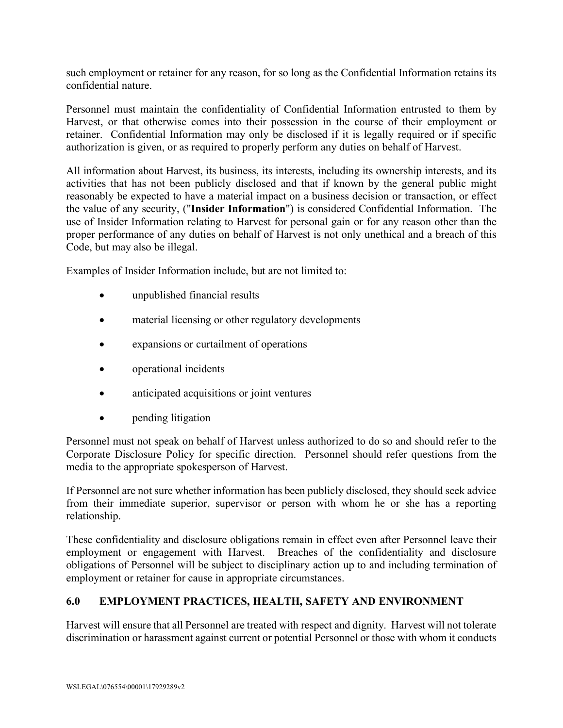such employment or retainer for any reason, for so long as the Confidential Information retains its confidential nature.

Personnel must maintain the confidentiality of Confidential Information entrusted to them by Harvest, or that otherwise comes into their possession in the course of their employment or retainer. Confidential Information may only be disclosed if it is legally required or if specific authorization is given, or as required to properly perform any duties on behalf of Harvest.

All information about Harvest, its business, its interests, including its ownership interests, and its activities that has not been publicly disclosed and that if known by the general public might reasonably be expected to have a material impact on a business decision or transaction, or effect the value of any security, ("**Insider Information**") is considered Confidential Information. The use of Insider Information relating to Harvest for personal gain or for any reason other than the proper performance of any duties on behalf of Harvest is not only unethical and a breach of this Code, but may also be illegal.

Examples of Insider Information include, but are not limited to:

- unpublished financial results
- material licensing or other regulatory developments
- expansions or curtailment of operations
- operational incidents
- anticipated acquisitions or joint ventures
- pending litigation

Personnel must not speak on behalf of Harvest unless authorized to do so and should refer to the Corporate Disclosure Policy for specific direction. Personnel should refer questions from the media to the appropriate spokesperson of Harvest.

If Personnel are not sure whether information has been publicly disclosed, they should seek advice from their immediate superior, supervisor or person with whom he or she has a reporting relationship.

These confidentiality and disclosure obligations remain in effect even after Personnel leave their employment or engagement with Harvest. Breaches of the confidentiality and disclosure obligations of Personnel will be subject to disciplinary action up to and including termination of employment or retainer for cause in appropriate circumstances.

## **6.0 EMPLOYMENT PRACTICES, HEALTH, SAFETY AND ENVIRONMENT**

Harvest will ensure that all Personnel are treated with respect and dignity. Harvest will not tolerate discrimination or harassment against current or potential Personnel or those with whom it conducts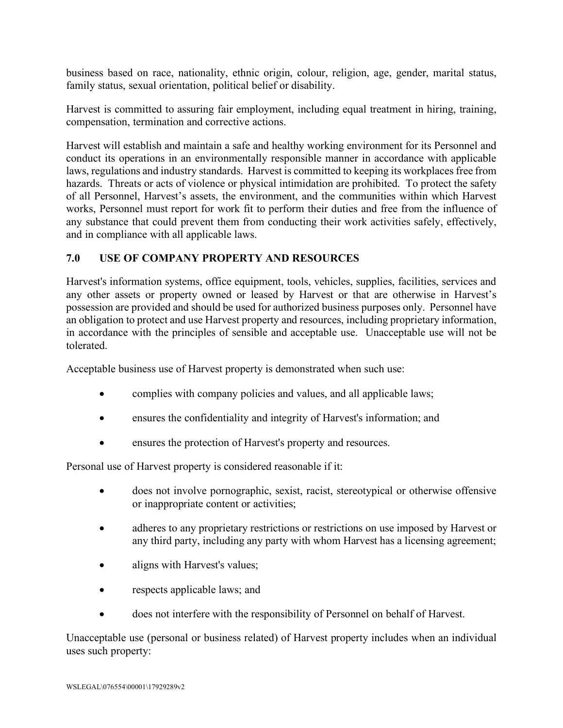business based on race, nationality, ethnic origin, colour, religion, age, gender, marital status, family status, sexual orientation, political belief or disability.

Harvest is committed to assuring fair employment, including equal treatment in hiring, training, compensation, termination and corrective actions.

Harvest will establish and maintain a safe and healthy working environment for its Personnel and conduct its operations in an environmentally responsible manner in accordance with applicable laws, regulations and industry standards. Harvest is committed to keeping its workplaces free from hazards. Threats or acts of violence or physical intimidation are prohibited. To protect the safety of all Personnel, Harvest's assets, the environment, and the communities within which Harvest works, Personnel must report for work fit to perform their duties and free from the influence of any substance that could prevent them from conducting their work activities safely, effectively, and in compliance with all applicable laws.

## **7.0 USE OF COMPANY PROPERTY AND RESOURCES**

Harvest's information systems, office equipment, tools, vehicles, supplies, facilities, services and any other assets or property owned or leased by Harvest or that are otherwise in Harvest's possession are provided and should be used for authorized business purposes only. Personnel have an obligation to protect and use Harvest property and resources, including proprietary information, in accordance with the principles of sensible and acceptable use. Unacceptable use will not be tolerated.

Acceptable business use of Harvest property is demonstrated when such use:

- complies with company policies and values, and all applicable laws;
- ensures the confidentiality and integrity of Harvest's information; and
- ensures the protection of Harvest's property and resources.

Personal use of Harvest property is considered reasonable if it:

- does not involve pornographic, sexist, racist, stereotypical or otherwise offensive or inappropriate content or activities;
- adheres to any proprietary restrictions or restrictions on use imposed by Harvest or any third party, including any party with whom Harvest has a licensing agreement;
- aligns with Harvest's values;
- respects applicable laws; and
- does not interfere with the responsibility of Personnel on behalf of Harvest.

Unacceptable use (personal or business related) of Harvest property includes when an individual uses such property: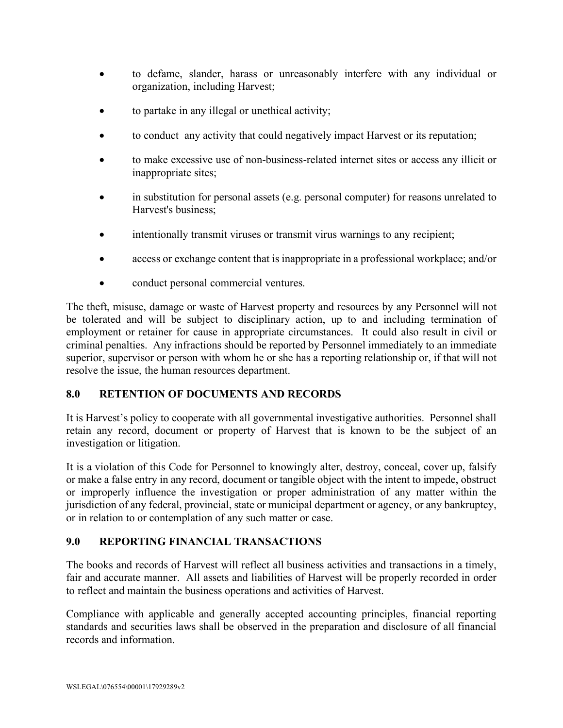- to defame, slander, harass or unreasonably interfere with any individual or organization, including Harvest;
- to partake in any illegal or unethical activity;
- to conduct any activity that could negatively impact Harvest or its reputation;
- to make excessive use of non-business-related internet sites or access any illicit or inappropriate sites;
- in substitution for personal assets (e.g. personal computer) for reasons unrelated to Harvest's business;
- intentionally transmit viruses or transmit virus warnings to any recipient;
- access or exchange content that is inappropriate in a professional workplace; and/or
- conduct personal commercial ventures.

The theft, misuse, damage or waste of Harvest property and resources by any Personnel will not be tolerated and will be subject to disciplinary action, up to and including termination of employment or retainer for cause in appropriate circumstances. It could also result in civil or criminal penalties. Any infractions should be reported by Personnel immediately to an immediate superior, supervisor or person with whom he or she has a reporting relationship or, if that will not resolve the issue, the human resources department.

## **8.0 RETENTION OF DOCUMENTS AND RECORDS**

It is Harvest's policy to cooperate with all governmental investigative authorities. Personnel shall retain any record, document or property of Harvest that is known to be the subject of an investigation or litigation.

It is a violation of this Code for Personnel to knowingly alter, destroy, conceal, cover up, falsify or make a false entry in any record, document or tangible object with the intent to impede, obstruct or improperly influence the investigation or proper administration of any matter within the jurisdiction of any federal, provincial, state or municipal department or agency, or any bankruptcy, or in relation to or contemplation of any such matter or case.

## **9.0 REPORTING FINANCIAL TRANSACTIONS**

The books and records of Harvest will reflect all business activities and transactions in a timely, fair and accurate manner. All assets and liabilities of Harvest will be properly recorded in order to reflect and maintain the business operations and activities of Harvest.

Compliance with applicable and generally accepted accounting principles, financial reporting standards and securities laws shall be observed in the preparation and disclosure of all financial records and information.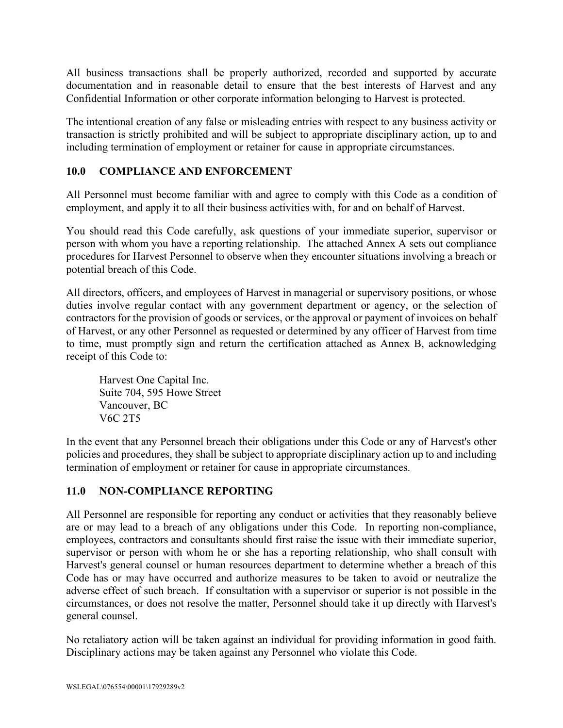All business transactions shall be properly authorized, recorded and supported by accurate documentation and in reasonable detail to ensure that the best interests of Harvest and any Confidential Information or other corporate information belonging to Harvest is protected.

The intentional creation of any false or misleading entries with respect to any business activity or transaction is strictly prohibited and will be subject to appropriate disciplinary action, up to and including termination of employment or retainer for cause in appropriate circumstances.

## **10.0 COMPLIANCE AND ENFORCEMENT**

All Personnel must become familiar with and agree to comply with this Code as a condition of employment, and apply it to all their business activities with, for and on behalf of Harvest.

You should read this Code carefully, ask questions of your immediate superior, supervisor or person with whom you have a reporting relationship. The attached Annex A sets out compliance procedures for Harvest Personnel to observe when they encounter situations involving a breach or potential breach of this Code.

All directors, officers, and employees of Harvest in managerial or supervisory positions, or whose duties involve regular contact with any government department or agency, or the selection of contractors for the provision of goods or services, or the approval or payment of invoices on behalf of Harvest, or any other Personnel as requested or determined by any officer of Harvest from time to time, must promptly sign and return the certification attached as Annex B, acknowledging receipt of this Code to:

Harvest One Capital Inc. Suite 704, 595 Howe Street Vancouver, BC V6C 2T5

In the event that any Personnel breach their obligations under this Code or any of Harvest's other policies and procedures, they shall be subject to appropriate disciplinary action up to and including termination of employment or retainer for cause in appropriate circumstances.

## **11.0 NON-COMPLIANCE REPORTING**

All Personnel are responsible for reporting any conduct or activities that they reasonably believe are or may lead to a breach of any obligations under this Code. In reporting non-compliance, employees, contractors and consultants should first raise the issue with their immediate superior, supervisor or person with whom he or she has a reporting relationship, who shall consult with Harvest's general counsel or human resources department to determine whether a breach of this Code has or may have occurred and authorize measures to be taken to avoid or neutralize the adverse effect of such breach. If consultation with a supervisor or superior is not possible in the circumstances, or does not resolve the matter, Personnel should take it up directly with Harvest's general counsel.

No retaliatory action will be taken against an individual for providing information in good faith. Disciplinary actions may be taken against any Personnel who violate this Code.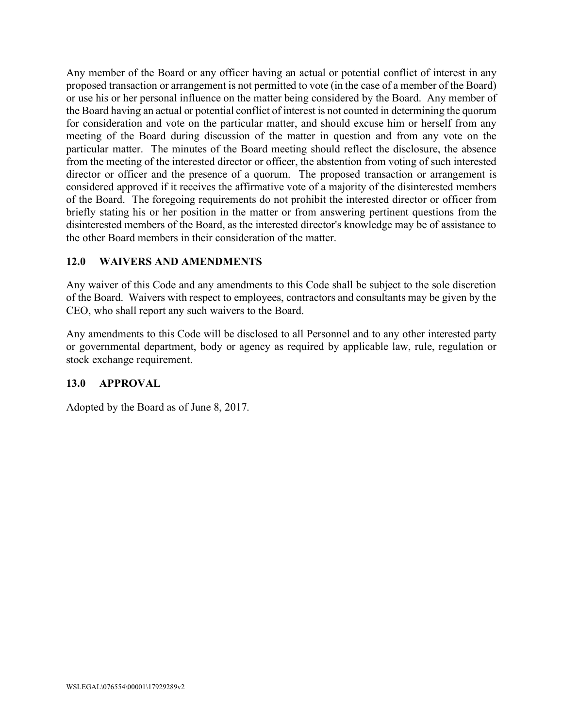Any member of the Board or any officer having an actual or potential conflict of interest in any proposed transaction or arrangement is not permitted to vote (in the case of a member of the Board) or use his or her personal influence on the matter being considered by the Board. Any member of the Board having an actual or potential conflict of interest is not counted in determining the quorum for consideration and vote on the particular matter, and should excuse him or herself from any meeting of the Board during discussion of the matter in question and from any vote on the particular matter. The minutes of the Board meeting should reflect the disclosure, the absence from the meeting of the interested director or officer, the abstention from voting of such interested director or officer and the presence of a quorum. The proposed transaction or arrangement is considered approved if it receives the affirmative vote of a majority of the disinterested members of the Board. The foregoing requirements do not prohibit the interested director or officer from briefly stating his or her position in the matter or from answering pertinent questions from the disinterested members of the Board, as the interested director's knowledge may be of assistance to the other Board members in their consideration of the matter.

#### **12.0 WAIVERS AND AMENDMENTS**

Any waiver of this Code and any amendments to this Code shall be subject to the sole discretion of the Board. Waivers with respect to employees, contractors and consultants may be given by the CEO, who shall report any such waivers to the Board.

Any amendments to this Code will be disclosed to all Personnel and to any other interested party or governmental department, body or agency as required by applicable law, rule, regulation or stock exchange requirement.

#### **13.0 APPROVAL**

Adopted by the Board as of June 8, 2017.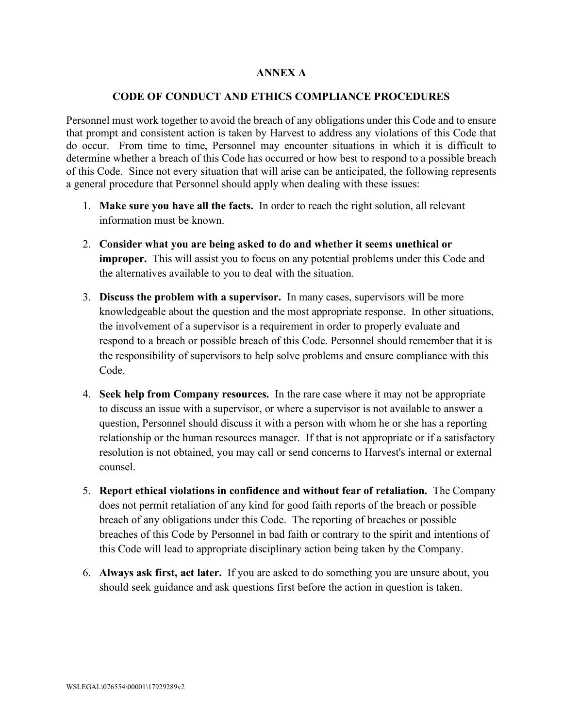#### **ANNEX A**

#### **CODE OF CONDUCT AND ETHICS COMPLIANCE PROCEDURES**

Personnel must work together to avoid the breach of any obligations under this Code and to ensure that prompt and consistent action is taken by Harvest to address any violations of this Code that do occur. From time to time, Personnel may encounter situations in which it is difficult to determine whether a breach of this Code has occurred or how best to respond to a possible breach of this Code. Since not every situation that will arise can be anticipated, the following represents a general procedure that Personnel should apply when dealing with these issues:

- 1. **Make sure you have all the facts.** In order to reach the right solution, all relevant information must be known.
- 2. **Consider what you are being asked to do and whether it seems unethical or improper.** This will assist you to focus on any potential problems under this Code and the alternatives available to you to deal with the situation.
- 3. **Discuss the problem with a supervisor.** In many cases, supervisors will be more knowledgeable about the question and the most appropriate response. In other situations, the involvement of a supervisor is a requirement in order to properly evaluate and respond to a breach or possible breach of this Code. Personnel should remember that it is the responsibility of supervisors to help solve problems and ensure compliance with this Code.
- 4. **Seek help from Company resources.** In the rare case where it may not be appropriate to discuss an issue with a supervisor, or where a supervisor is not available to answer a question, Personnel should discuss it with a person with whom he or she has a reporting relationship or the human resources manager. If that is not appropriate or if a satisfactory resolution is not obtained, you may call or send concerns to Harvest's internal or external counsel.
- 5. **Report ethical violations in confidence and without fear of retaliation.** The Company does not permit retaliation of any kind for good faith reports of the breach or possible breach of any obligations under this Code. The reporting of breaches or possible breaches of this Code by Personnel in bad faith or contrary to the spirit and intentions of this Code will lead to appropriate disciplinary action being taken by the Company.
- 6. **Always ask first, act later.** If you are asked to do something you are unsure about, you should seek guidance and ask questions first before the action in question is taken.